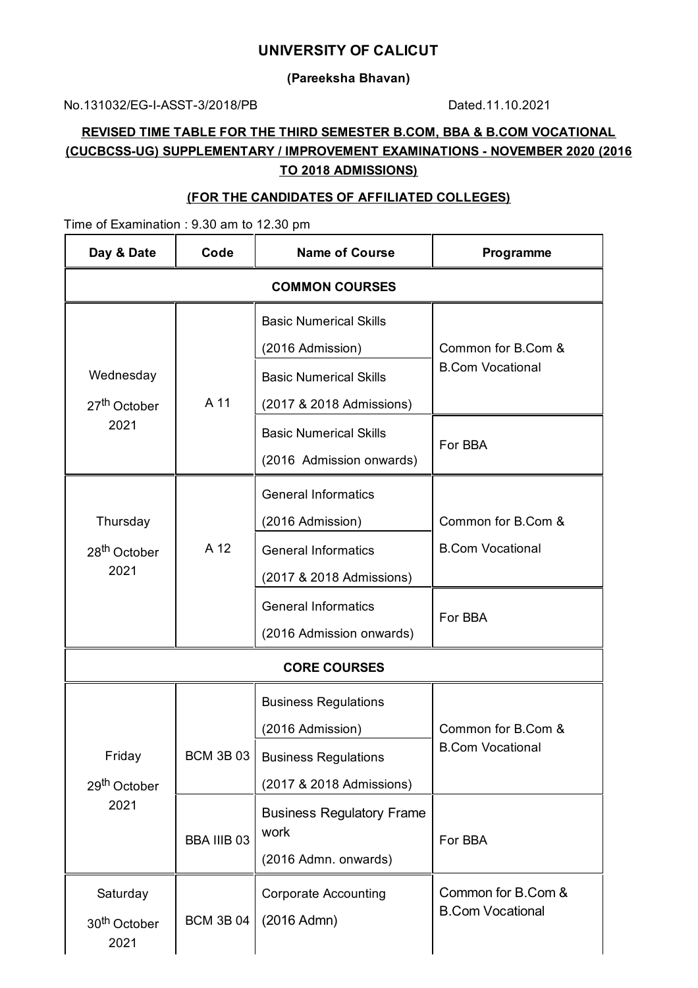### **UNIVERSITY OF CALICUT**

#### **(Pareeksha Bhavan)**

No.131032/EG-I-ASST-3/2018/PB Dated.11.10.2021

# **REVISED TIME TABLE FOR THE THIRD SEMESTER B.COM, BBA & B.COM VOCATIONAL (CUCBCSS-UG) SUPPLEMENTARY / IMPROVEMENT EXAMINATIONS - NOVEMBER 2020 (2016 TO 2018 ADMISSIONS)**

#### **(FOR THE CANDIDATES OF AFFILIATED COLLEGES)**

Time of Examination : 9.30 am to 12.30 pm

| Day & Date                                    | Code               | <b>Name of Course</b>                                                          | Programme                                     |  |  |
|-----------------------------------------------|--------------------|--------------------------------------------------------------------------------|-----------------------------------------------|--|--|
| <b>COMMON COURSES</b>                         |                    |                                                                                |                                               |  |  |
|                                               |                    | <b>Basic Numerical Skills</b><br>(2016 Admission)                              | Common for B.Com &                            |  |  |
| Wednesday<br>27 <sup>th</sup> October<br>2021 | A 11               | <b>Basic Numerical Skills</b><br>(2017 & 2018 Admissions)                      | <b>B.Com Vocational</b>                       |  |  |
|                                               |                    | <b>Basic Numerical Skills</b><br>(2016 Admission onwards)                      | For BBA                                       |  |  |
| Thursday<br>28 <sup>th</sup> October<br>2021  | A 12               | <b>General Informatics</b><br>(2016 Admission)                                 | Common for B.Com &<br><b>B.Com Vocational</b> |  |  |
|                                               |                    | <b>General Informatics</b><br>(2017 & 2018 Admissions)                         |                                               |  |  |
|                                               |                    | <b>General Informatics</b><br>(2016 Admission onwards)                         | For BBA                                       |  |  |
| <b>CORE COURSES</b>                           |                    |                                                                                |                                               |  |  |
| Friday<br>29 <sup>th</sup> October<br>2021    | <b>BCM 3B 03</b>   | <b>Business Regulations</b><br>(2016 Admission)<br><b>Business Regulations</b> | Common for B.Com &<br><b>B.Com Vocational</b> |  |  |
|                                               |                    | (2017 & 2018 Admissions)                                                       |                                               |  |  |
|                                               | <b>BBA IIIB 03</b> | <b>Business Regulatory Frame</b><br>work<br>(2016 Admn. onwards)               | For BBA                                       |  |  |
| Saturday<br>30 <sup>th</sup> October<br>2021  | <b>BCM 3B 04</b>   | <b>Corporate Accounting</b><br>(2016 Admn)                                     | Common for B.Com &<br><b>B.Com Vocational</b> |  |  |